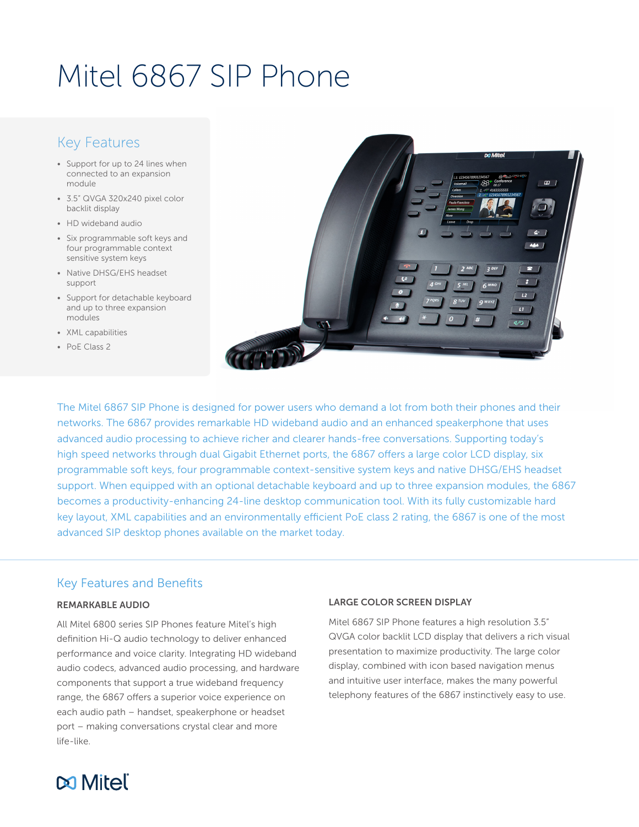# Mitel 6867 SIP Phone

### Key Features

- Support for up to 24 lines when connected to an expansion module
- 3.5" QVGA 320x240 pixel color backlit display
- HD wideband audio
- Six programmable soft keys and four programmable context sensitive system keys
- Native DHSG/EHS headset support
- Support for detachable keyboard and up to three expansion modules
- XML capabilities
- PoE Class 2



The Mitel 6867 SIP Phone is designed for power users who demand a lot from both their phones and their networks. The 6867 provides remarkable HD wideband audio and an enhanced speakerphone that uses advanced audio processing to achieve richer and clearer hands-free conversations. Supporting today's high speed networks through dual Gigabit Ethernet ports, the 6867 offers a large color LCD display, six programmable soft keys, four programmable context-sensitive system keys and native DHSG/EHS headset support. When equipped with an optional detachable keyboard and up to three expansion modules, the 6867 becomes a productivity-enhancing 24-line desktop communication tool. With its fully customizable hard key layout, XML capabilities and an environmentally efficient PoE class 2 rating, the 6867 is one of the most advanced SIP desktop phones available on the market today.

#### Key Features and Benefits

#### REMARKABLE AUDIO

All Mitel 6800 series SIP Phones feature Mitel's high definition Hi-Q audio technology to deliver enhanced performance and voice clarity. Integrating HD wideband audio codecs, advanced audio processing, and hardware components that support a true wideband frequency range, the 6867 offers a superior voice experience on each audio path – handset, speakerphone or headset port – making conversations crystal clear and more life-like.

#### LARGE COLOR SCREEN DISPLAY

Mitel 6867 SIP Phone features a high resolution 3.5" QVGA color backlit LCD display that delivers a rich visual presentation to maximize productivity. The large color display, combined with icon based navigation menus and intuitive user interface, makes the many powerful telephony features of the 6867 instinctively easy to use.

## **DO Mitel**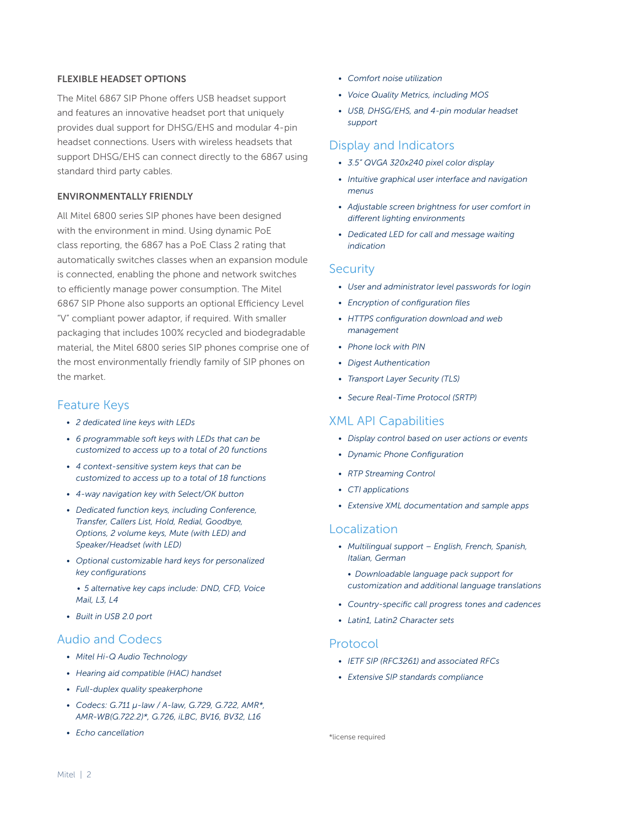#### FLEXIBLE HEADSET OPTIONS

The Mitel 6867 SIP Phone offers USB headset support and features an innovative headset port that uniquely provides dual support for DHSG/EHS and modular 4-pin headset connections. Users with wireless headsets that support DHSG/EHS can connect directly to the 6867 using standard third party cables.

#### ENVIRONMENTALLY FRIENDLY

All Mitel 6800 series SIP phones have been designed with the environment in mind. Using dynamic PoE class reporting, the 6867 has a PoE Class 2 rating that automatically switches classes when an expansion module is connected, enabling the phone and network switches to efficiently manage power consumption. The Mitel 6867 SIP Phone also supports an optional Efficiency Level "V" compliant power adaptor, if required. With smaller packaging that includes 100% recycled and biodegradable material, the Mitel 6800 series SIP phones comprise one of the most environmentally friendly family of SIP phones on the market.

#### Feature Keys

- *• 2 dedicated line keys with LEDs*
- *• 6 programmable soft keys with LEDs that can be customized to access up to a total of 20 functions*
- *• 4 context-sensitive system keys that can be customized to access up to a total of 18 functions*
- *• 4-way navigation key with Select/OK button*
- *• Dedicated function keys, including Conference, Transfer, Callers List, Hold, Redial, Goodbye, Options, 2 volume keys, Mute (with LED) and Speaker/Headset (with LED)*
- *• Optional customizable hard keys for personalized key configurations*
	- *• 5 alternative key caps include: DND, CFD, Voice Mail, L3, L4*
- *• Built in USB 2.0 port*

#### Audio and Codecs

- *• Mitel Hi-Q Audio Technology*
- *• Hearing aid compatible (HAC) handset*
- *• Full-duplex quality speakerphone*
- *• Codecs: G.711 µ-law / A-law, G.729, G.722, AMR\*, AMR-WB(G.722.2)\*, G.726, iLBC, BV16, BV32, L16*
- *• Echo cancellation*
- *• Comfort noise utilization*
- *• Voice Quality Metrics, including MOS*
- *• USB, DHSG/EHS, and 4-pin modular headset support*

#### Display and Indicators

- *• 3.5" QVGA 320x240 pixel color display*
- *• Intuitive graphical user interface and navigation menus*
- *• Adjustable screen brightness for user comfort in different lighting environments*
- *• Dedicated LED for call and message waiting indication*

#### **Security**

- *• User and administrator level passwords for login*
- *• Encryption of configuration files*
- *• HTTPS configuration download and web management*
- *• Phone lock with PIN*
- *• Digest Authentication*
- *• Transport Layer Security (TLS)*
- *• Secure Real-Time Protocol (SRTP)*

#### XML API Capabilities

- *• Display control based on user actions or events*
- *• Dynamic Phone Configuration*
- *• RTP Streaming Control*
- *• CTI applications*
- *• Extensive XML documentation and sample apps*

#### Localization

- *• Multilingual support English, French, Spanish, Italian, German*
- *• Downloadable language pack support for customization and additional language translations*
- *• Country-specific call progress tones and cadences*
- *• Latin1, Latin2 Character sets*

#### Protocol

- *• IETF SIP (RFC3261) and associated RFCs*
- *• Extensive SIP standards compliance*

\*license required